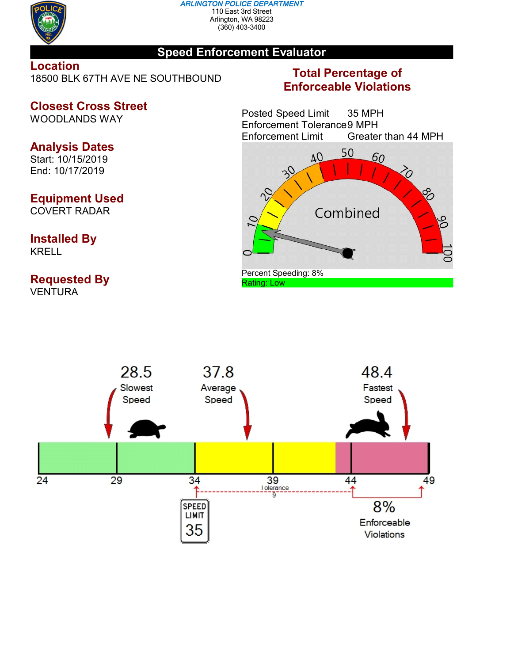

#### *ARLINGTON POLICE DEPARTMENT* 110 East 3rd Street Arlington, WA 98223 (360) 403-3400

## **Speed Enforcement Evaluator**

**Location** 18500 BLK 67TH AVE NE SOUTHBOUND

# **Closest Cross Street**

WOODLANDS WAY

# **Analysis Dates**

Start: 10/15/2019 End: 10/17/2019

# **Equipment Used**

COVERT RADAR

## **Installed By** KRELL

# **Requested By**

**VENTURA** 

# **Total Percentage of Enforceable Violations**

Posted Speed Limit 35 MPH Enforcement Tolerance9 MPH Enforcement Limit Greater than 44 MPH